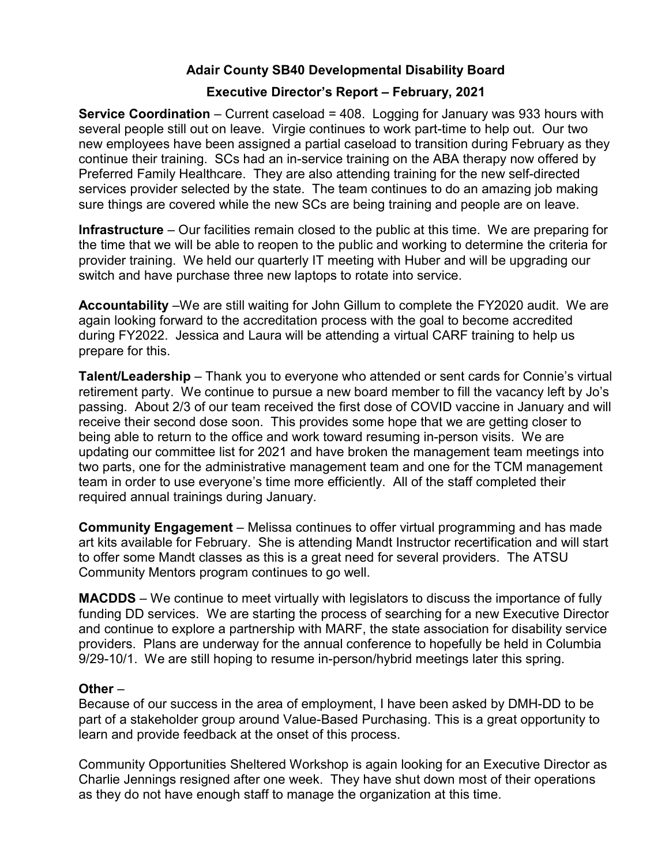# Adair County SB40 Developmental Disability Board

## Executive Director's Report – February, 2021

Service Coordination – Current caseload = 408. Logging for January was 933 hours with several people still out on leave. Virgie continues to work part-time to help out. Our two new employees have been assigned a partial caseload to transition during February as they continue their training. SCs had an in-service training on the ABA therapy now offered by Preferred Family Healthcare. They are also attending training for the new self-directed services provider selected by the state. The team continues to do an amazing job making sure things are covered while the new SCs are being training and people are on leave.

Infrastructure – Our facilities remain closed to the public at this time. We are preparing for the time that we will be able to reopen to the public and working to determine the criteria for provider training. We held our quarterly IT meeting with Huber and will be upgrading our switch and have purchase three new laptops to rotate into service.

Accountability –We are still waiting for John Gillum to complete the FY2020 audit. We are again looking forward to the accreditation process with the goal to become accredited during FY2022. Jessica and Laura will be attending a virtual CARF training to help us prepare for this.

Talent/Leadership – Thank you to everyone who attended or sent cards for Connie's virtual retirement party. We continue to pursue a new board member to fill the vacancy left by Jo's passing. About 2/3 of our team received the first dose of COVID vaccine in January and will receive their second dose soon. This provides some hope that we are getting closer to being able to return to the office and work toward resuming in-person visits. We are updating our committee list for 2021 and have broken the management team meetings into two parts, one for the administrative management team and one for the TCM management team in order to use everyone's time more efficiently. All of the staff completed their required annual trainings during January.

Community Engagement – Melissa continues to offer virtual programming and has made art kits available for February. She is attending Mandt Instructor recertification and will start to offer some Mandt classes as this is a great need for several providers. The ATSU Community Mentors program continues to go well.

MACDDS – We continue to meet virtually with legislators to discuss the importance of fully funding DD services. We are starting the process of searching for a new Executive Director and continue to explore a partnership with MARF, the state association for disability service providers. Plans are underway for the annual conference to hopefully be held in Columbia 9/29-10/1. We are still hoping to resume in-person/hybrid meetings later this spring.

## Other –

Because of our success in the area of employment, I have been asked by DMH-DD to be part of a stakeholder group around Value-Based Purchasing. This is a great opportunity to learn and provide feedback at the onset of this process.

Community Opportunities Sheltered Workshop is again looking for an Executive Director as Charlie Jennings resigned after one week. They have shut down most of their operations as they do not have enough staff to manage the organization at this time.